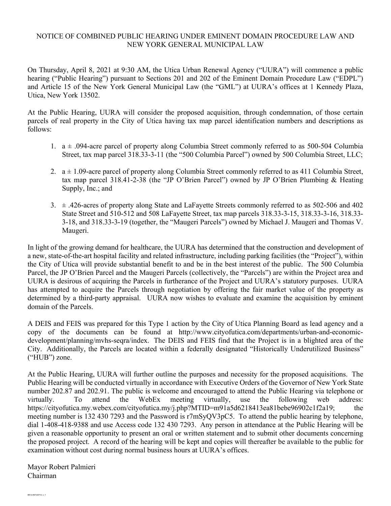## NOTICE OF COMBINED PUBLIC HEARING UNDER EMINENT DOMAIN PROCEDURE LAW AND NEW YORK GENERAL MUNICIPAL LAW

On Thursday, April 8, 2021 at 9:30 AM, the Utica Urban Renewal Agency ("UURA") will commence a public hearing ("Public Hearing") pursuant to Sections 201 and 202 of the Eminent Domain Procedure Law ("EDPL") and Article 15 of the New York General Municipal Law (the "GML") at UURA's offices at 1 Kennedy Plaza, Utica, New York 13502.

At the Public Hearing, UURA will consider the proposed acquisition, through condemnation, of those certain parcels of real property in the City of Utica having tax map parcel identification numbers and descriptions as follows:

- 1. a ± .094-acre parcel of property along Columbia Street commonly referred to as 500-504 Columbia Street, tax map parcel 318.33-3-11 (the "500 Columbia Parcel") owned by 500 Columbia Street, LLC;
- 2.  $a \pm 1.09$ -acre parcel of property along Columbia Street commonly referred to as 411 Columbia Street, tax map parcel 318.41-2-38 (the "JP O'Brien Parcel") owned by JP O'Brien Plumbing & Heating Supply, Inc.; and
- 3. ± .426-acres of property along State and LaFayette Streets commonly referred to as 502-506 and 402 State Street and 510-512 and 508 LaFayette Street, tax map parcels 318.33-3-15, 318.33-3-16, 318.33- 3-18, and 318.33-3-19 (together, the "Maugeri Parcels") owned by Michael J. Maugeri and Thomas V. Maugeri.

In light of the growing demand for healthcare, the UURA has determined that the construction and development of a new, state-of-the-art hospital facility and related infrastructure, including parking facilities (the "Project"), within the City of Utica will provide substantial benefit to and be in the best interest of the public. The 500 Columbia Parcel, the JP O'Brien Parcel and the Maugeri Parcels (collectively, the "Parcels") are within the Project area and UURA is desirous of acquiring the Parcels in furtherance of the Project and UURA's statutory purposes. UURA has attempted to acquire the Parcels through negotiation by offering the fair market value of the property as determined by a third-party appraisal. UURA now wishes to evaluate and examine the acquisition by eminent domain of the Parcels.

A DEIS and FEIS was prepared for this Type 1 action by the City of Utica Planning Board as lead agency and a copy of the documents can be found at http://www.cityofutica.com/departments/urban-and-economicdevelopment/planning/mvhs-seqra/index. The DEIS and FEIS find that the Project is in a blighted area of the City. Additionally, the Parcels are located within a federally designated "Historically Underutilized Business" ("HUB") zone.

At the Public Hearing, UURA will further outline the purposes and necessity for the proposed acquisitions. The Public Hearing will be conducted virtually in accordance with Executive Orders of the Governor of New York State number 202.87 and 202.91. The public is welcome and encouraged to attend the Public Hearing via telephone or virtually. To attend the WebEx meeting virtually, use the following web address: https://cityofutica.my.webex.com/cityofutica.my/j.php?MTID=m91a5d6218413ea81bebe96902c1f2a19; the meeting number is 132 430 7293 and the Password is r7mSyQV3pC5. To attend the public hearing by telephone, dial 1-408-418-9388 and use Access code 132 430 7293. Any person in attendance at the Public Hearing will be given a reasonable opportunity to present an oral or written statement and to submit other documents concerning the proposed project. A record of the hearing will be kept and copies will thereafter be available to the public for examination without cost during normal business hours at UURA's offices.

Mayor Robert Palmieri Chairman